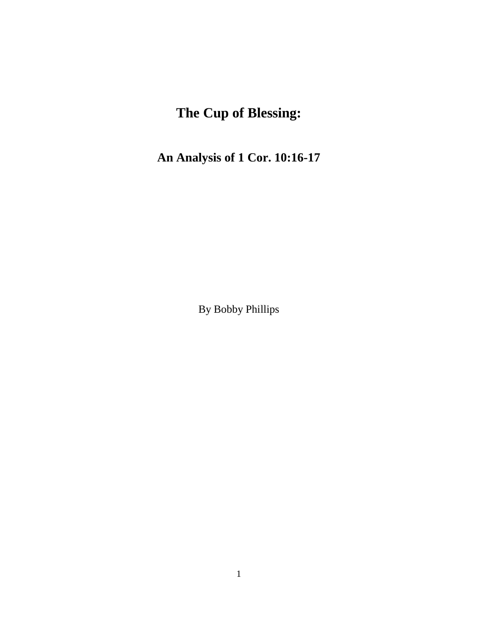# **The Cup of Blessing:**

**An Analysis of 1 Cor. 10:16-17**

By Bobby Phillips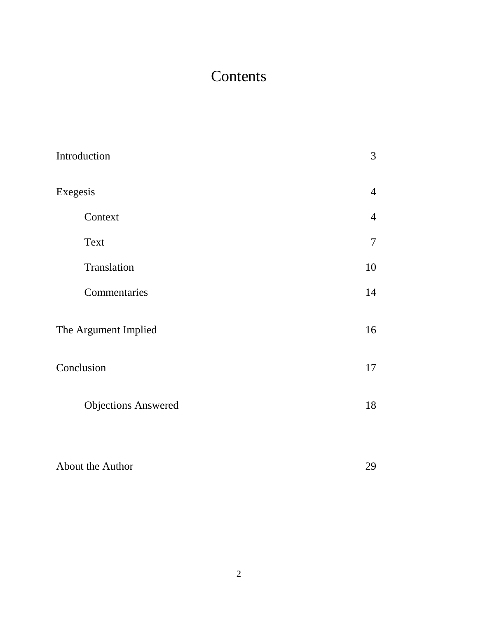# **Contents**

| Introduction               | 3              |
|----------------------------|----------------|
| Exegesis                   | $\overline{4}$ |
| Context                    | $\overline{4}$ |
| Text                       | $\overline{7}$ |
| Translation                | 10             |
| Commentaries               | 14             |
| The Argument Implied       | 16             |
| Conclusion                 | 17             |
| <b>Objections Answered</b> | 18             |
| About the Author           | 29             |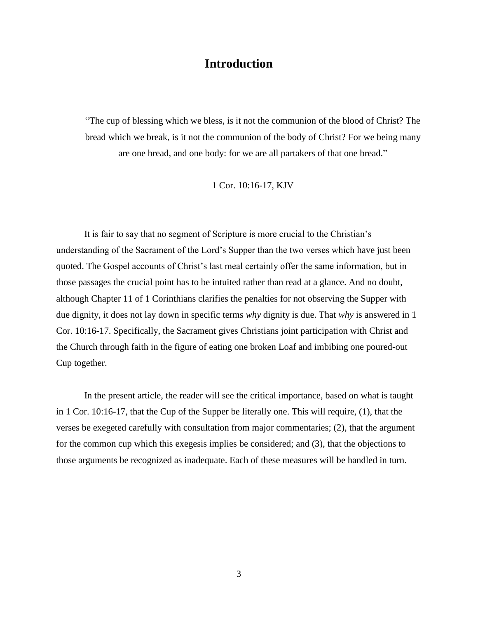## **Introduction**

"The cup of blessing which we bless, is it not the communion of the blood of Christ? The bread which we break, is it not the communion of the body of Christ? For we being many are one bread, and one body: for we are all partakers of that one bread."

1 Cor. 10:16-17, KJV

It is fair to say that no segment of Scripture is more crucial to the Christian's understanding of the Sacrament of the Lord's Supper than the two verses which have just been quoted. The Gospel accounts of Christ's last meal certainly offer the same information, but in those passages the crucial point has to be intuited rather than read at a glance. And no doubt, although Chapter 11 of 1 Corinthians clarifies the penalties for not observing the Supper with due dignity, it does not lay down in specific terms *why* dignity is due. That *why* is answered in 1 Cor. 10:16-17. Specifically, the Sacrament gives Christians joint participation with Christ and the Church through faith in the figure of eating one broken Loaf and imbibing one poured-out Cup together.

In the present article, the reader will see the critical importance, based on what is taught in 1 Cor. 10:16-17, that the Cup of the Supper be literally one. This will require, (1), that the verses be exegeted carefully with consultation from major commentaries; (2), that the argument for the common cup which this exegesis implies be considered; and (3), that the objections to those arguments be recognized as inadequate. Each of these measures will be handled in turn.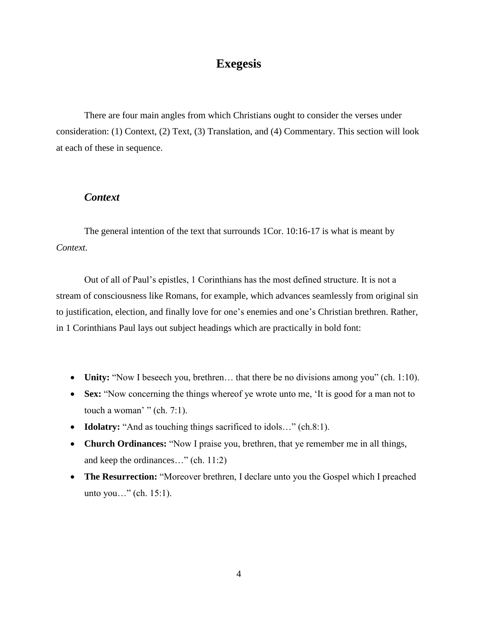## **Exegesis**

There are four main angles from which Christians ought to consider the verses under consideration: (1) Context, (2) Text, (3) Translation, and (4) Commentary. This section will look at each of these in sequence.

### *Context*

The general intention of the text that surrounds 1Cor. 10:16-17 is what is meant by *Context.*

Out of all of Paul's epistles, 1 Corinthians has the most defined structure. It is not a stream of consciousness like Romans, for example, which advances seamlessly from original sin to justification, election, and finally love for one's enemies and one's Christian brethren. Rather, in 1 Corinthians Paul lays out subject headings which are practically in bold font:

- **Unity:** "Now I beseech you, brethren... that there be no divisions among you" (ch. 1:10).
- **Sex:** "Now concerning the things whereof ye wrote unto me, 'It is good for a man not to touch a woman' " (ch.  $7:1$ ).
- **Idolatry:** "And as touching things sacrificed to idols…" (ch.8:1).
- **Church Ordinances:** "Now I praise you, brethren, that ye remember me in all things, and keep the ordinances…" (ch. 11:2)
- **The Resurrection:** "Moreover brethren, I declare unto you the Gospel which I preached unto you…" (ch. 15:1).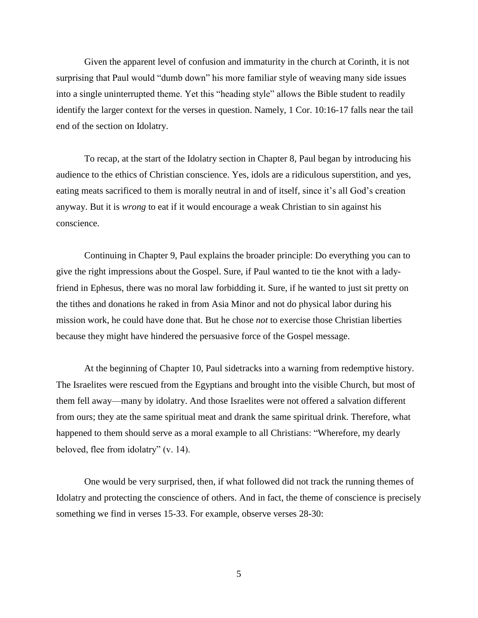Given the apparent level of confusion and immaturity in the church at Corinth, it is not surprising that Paul would "dumb down" his more familiar style of weaving many side issues into a single uninterrupted theme. Yet this "heading style" allows the Bible student to readily identify the larger context for the verses in question. Namely, 1 Cor. 10:16-17 falls near the tail end of the section on Idolatry.

To recap, at the start of the Idolatry section in Chapter 8, Paul began by introducing his audience to the ethics of Christian conscience. Yes, idols are a ridiculous superstition, and yes, eating meats sacrificed to them is morally neutral in and of itself, since it's all God's creation anyway. But it is *wrong* to eat if it would encourage a weak Christian to sin against his conscience.

Continuing in Chapter 9, Paul explains the broader principle: Do everything you can to give the right impressions about the Gospel. Sure, if Paul wanted to tie the knot with a ladyfriend in Ephesus, there was no moral law forbidding it. Sure, if he wanted to just sit pretty on the tithes and donations he raked in from Asia Minor and not do physical labor during his mission work, he could have done that. But he chose *not* to exercise those Christian liberties because they might have hindered the persuasive force of the Gospel message.

At the beginning of Chapter 10, Paul sidetracks into a warning from redemptive history. The Israelites were rescued from the Egyptians and brought into the visible Church, but most of them fell away—many by idolatry. And those Israelites were not offered a salvation different from ours; they ate the same spiritual meat and drank the same spiritual drink. Therefore, what happened to them should serve as a moral example to all Christians: "Wherefore, my dearly beloved, flee from idolatry" (v. 14).

One would be very surprised, then, if what followed did not track the running themes of Idolatry and protecting the conscience of others. And in fact, the theme of conscience is precisely something we find in verses 15-33. For example, observe verses 28-30: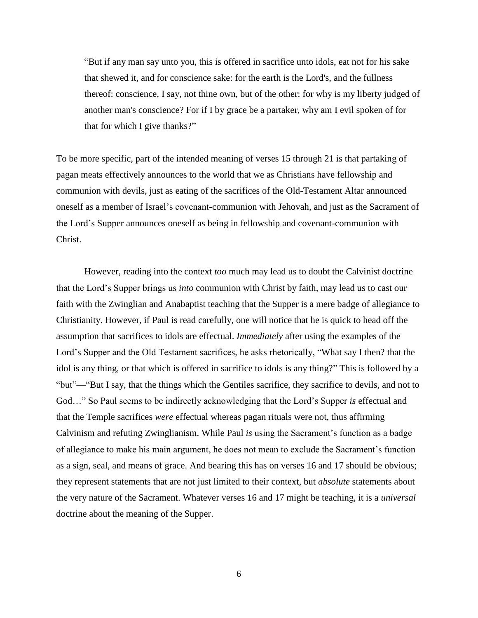"But if any man say unto you, this is offered in sacrifice unto idols, eat not for his sake that shewed it, and for conscience sake: for the earth is the Lord's, and the fullness thereof: conscience, I say, not thine own, but of the other: for why is my liberty judged of another man's conscience? For if I by grace be a partaker, why am I evil spoken of for that for which I give thanks?"

To be more specific, part of the intended meaning of verses 15 through 21 is that partaking of pagan meats effectively announces to the world that we as Christians have fellowship and communion with devils, just as eating of the sacrifices of the Old-Testament Altar announced oneself as a member of Israel's covenant-communion with Jehovah, and just as the Sacrament of the Lord's Supper announces oneself as being in fellowship and covenant-communion with Christ.

However, reading into the context *too* much may lead us to doubt the Calvinist doctrine that the Lord's Supper brings us *into* communion with Christ by faith, may lead us to cast our faith with the Zwinglian and Anabaptist teaching that the Supper is a mere badge of allegiance to Christianity. However, if Paul is read carefully, one will notice that he is quick to head off the assumption that sacrifices to idols are effectual. *Immediately* after using the examples of the Lord's Supper and the Old Testament sacrifices, he asks rhetorically, "What say I then? that the idol is any thing, or that which is offered in sacrifice to idols is any thing?" This is followed by a "but"—"But I say, that the things which the Gentiles sacrifice, they sacrifice to devils, and not to God…" So Paul seems to be indirectly acknowledging that the Lord's Supper *is* effectual and that the Temple sacrifices *were* effectual whereas pagan rituals were not, thus affirming Calvinism and refuting Zwinglianism. While Paul *is* using the Sacrament's function as a badge of allegiance to make his main argument, he does not mean to exclude the Sacrament's function as a sign, seal, and means of grace. And bearing this has on verses 16 and 17 should be obvious; they represent statements that are not just limited to their context, but *absolute* statements about the very nature of the Sacrament. Whatever verses 16 and 17 might be teaching, it is a *universal* doctrine about the meaning of the Supper.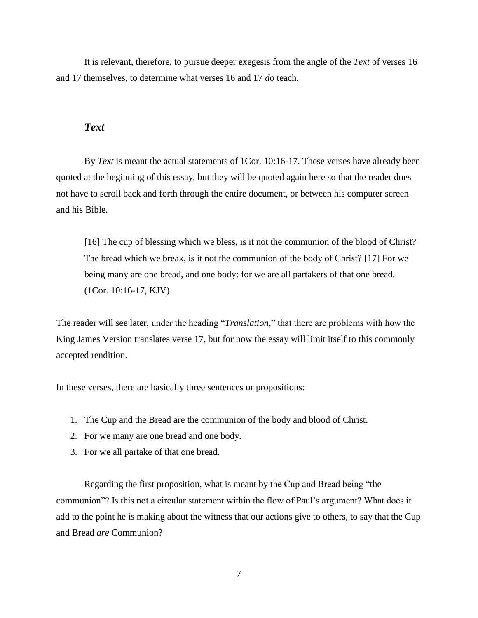It is relevant, therefore, to pursue deeper exegesis from the angle of the *Text* of verses 16 and 17 themselves, to determine what verses 16 and 17 *do* teach.

#### *Text*

By *Text* is meant the actual statements of 1Cor. 10:16-17. These verses have already been quoted at the beginning of this essay, but they will be quoted again here so that the reader does not have to scroll back and forth through the entire document, or between his computer screen and his Bible.

[16] The cup of blessing which we bless, is it not the communion of the blood of Christ? The bread which we break, is it not the communion of the body of Christ? [17] For we being many are one bread, and one body: for we are all partakers of that one bread. (1Cor. 10:16-17, KJV)

The reader will see later, under the heading "*Translation*," that there are problems with how the King James Version translates verse 17, but for now the essay will limit itself to this commonly accepted rendition.

In these verses, there are basically three sentences or propositions:

- 1. The Cup and the Bread are the communion of the body and blood of Christ.
- 2. For we many are one bread and one body.
- 3. For we all partake of that one bread.

Regarding the first proposition, what is meant by the Cup and Bread being "the communion"? Is this not a circular statement within the flow of Paul's argument? What does it add to the point he is making about the witness that our actions give to others, to say that the Cup and Bread *are* Communion?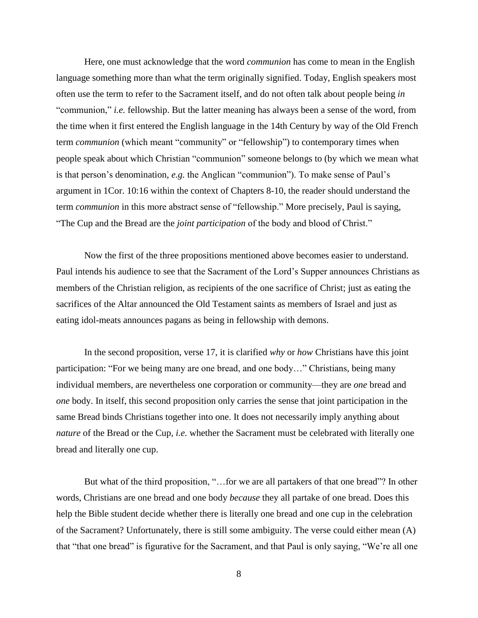Here, one must acknowledge that the word *communion* has come to mean in the English language something more than what the term originally signified. Today, English speakers most often use the term to refer to the Sacrament itself, and do not often talk about people being *in* "communion," *i.e.* fellowship. But the latter meaning has always been a sense of the word, from the time when it first entered the English language in the 14th Century by way of the Old French term *communion* (which meant "community" or "fellowship") to contemporary times when people speak about which Christian "communion" someone belongs to (by which we mean what is that person's denomination, *e.g.* the Anglican "communion"). To make sense of Paul's argument in 1Cor. 10:16 within the context of Chapters 8-10, the reader should understand the term *communion* in this more abstract sense of "fellowship." More precisely, Paul is saying, "The Cup and the Bread are the *joint participation* of the body and blood of Christ."

Now the first of the three propositions mentioned above becomes easier to understand. Paul intends his audience to see that the Sacrament of the Lord's Supper announces Christians as members of the Christian religion, as recipients of the one sacrifice of Christ; just as eating the sacrifices of the Altar announced the Old Testament saints as members of Israel and just as eating idol-meats announces pagans as being in fellowship with demons.

In the second proposition, verse 17, it is clarified *why* or *how* Christians have this joint participation: "For we being many are one bread, and one body…" Christians, being many individual members, are nevertheless one corporation or community—they are *one* bread and *one* body. In itself, this second proposition only carries the sense that joint participation in the same Bread binds Christians together into one. It does not necessarily imply anything about *nature* of the Bread or the Cup, *i.e.* whether the Sacrament must be celebrated with literally one bread and literally one cup.

But what of the third proposition, "…for we are all partakers of that one bread"? In other words, Christians are one bread and one body *because* they all partake of one bread. Does this help the Bible student decide whether there is literally one bread and one cup in the celebration of the Sacrament? Unfortunately, there is still some ambiguity. The verse could either mean (A) that "that one bread" is figurative for the Sacrament, and that Paul is only saying, "We're all one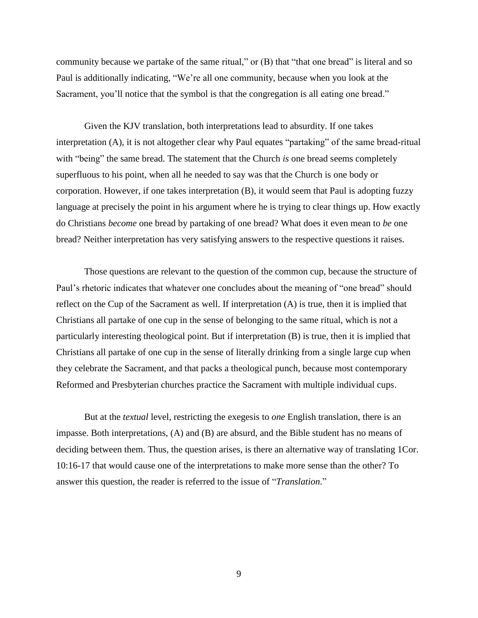community because we partake of the same ritual," or (B) that "that one bread" is literal and so Paul is additionally indicating, "We're all one community, because when you look at the Sacrament, you'll notice that the symbol is that the congregation is all eating one bread."

Given the KJV translation, both interpretations lead to absurdity. If one takes interpretation (A), it is not altogether clear why Paul equates "partaking" of the same bread-ritual with "being" the same bread. The statement that the Church *is* one bread seems completely superfluous to his point, when all he needed to say was that the Church is one body or corporation. However, if one takes interpretation (B), it would seem that Paul is adopting fuzzy language at precisely the point in his argument where he is trying to clear things up. How exactly do Christians *become* one bread by partaking of one bread? What does it even mean to *be* one bread? Neither interpretation has very satisfying answers to the respective questions it raises.

Those questions are relevant to the question of the common cup, because the structure of Paul's rhetoric indicates that whatever one concludes about the meaning of "one bread" should reflect on the Cup of the Sacrament as well. If interpretation (A) is true, then it is implied that Christians all partake of one cup in the sense of belonging to the same ritual, which is not a particularly interesting theological point. But if interpretation (B) is true, then it is implied that Christians all partake of one cup in the sense of literally drinking from a single large cup when they celebrate the Sacrament, and that packs a theological punch, because most contemporary Reformed and Presbyterian churches practice the Sacrament with multiple individual cups.

But at the *textual* level, restricting the exegesis to *one* English translation, there is an impasse. Both interpretations, (A) and (B) are absurd, and the Bible student has no means of deciding between them. Thus, the question arises, is there an alternative way of translating 1Cor. 10:16-17 that would cause one of the interpretations to make more sense than the other? To answer this question, the reader is referred to the issue of "*Translation*."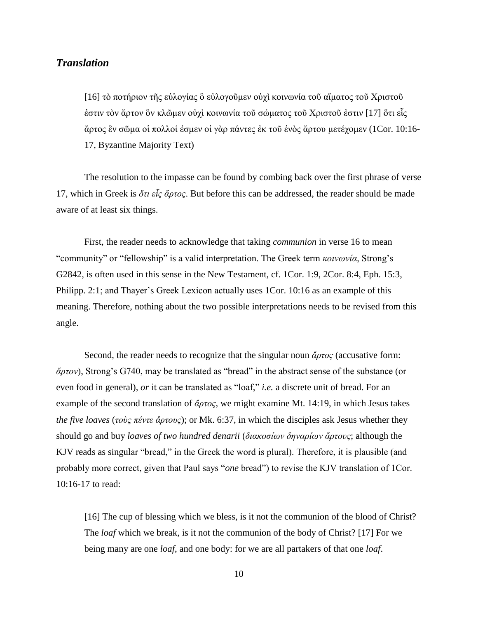### *Translation*

[16] τὸ ποτήριον τῆς εὐλογίας ὃ εὐλογοῦμεν οὐχὶ κοινωνία τοῦ αἵματος τοῦ Χριστοῦ ἐστιν τὸν ἄρτον ὃν κλῶμεν οὐχὶ κοινωνία τοῦ σώματος τοῦ Χριστοῦ ἐστιν [17] ὅτι εἷς ἄρτος ἓν σῶμα οἱ πολλοί ἐσμεν οἱ γὰρ πάντες ἐκ τοῦ ἑνὸς ἄρτου μετέχομεν (1Cor. 10:16- 17, Byzantine Majority Text)

The resolution to the impasse can be found by combing back over the first phrase of verse 17, which in Greek is *ὅτι εἷς ἄρτος*. But before this can be addressed, the reader should be made aware of at least six things.

First, the reader needs to acknowledge that taking *communion* in verse 16 to mean "community" or "fellowship" is a valid interpretation. The Greek term *κοινωνία*, Strong's G2842, is often used in this sense in the New Testament, cf. 1Cor. 1:9, 2Cor. 8:4, Eph. 15:3, Philipp. 2:1; and Thayer's Greek Lexicon actually uses 1Cor. 10:16 as an example of this meaning. Therefore, nothing about the two possible interpretations needs to be revised from this angle.

Second, the reader needs to recognize that the singular noun *ἄρτος* (accusative form: *ἄρτον*), Strong's G740, may be translated as "bread" in the abstract sense of the substance (or even food in general), *or* it can be translated as "loaf," *i.e.* a discrete unit of bread. For an example of the second translation of *ἄρτος*, we might examine Mt. 14:19, in which Jesus takes *the five loaves* (*τοὺς πέντε ἄρτους*); or Mk. 6:37, in which the disciples ask Jesus whether they should go and buy *loaves of two hundred denarii* (*διακοσίων δηναρίων ἄρτους*; although the KJV reads as singular "bread," in the Greek the word is plural). Therefore, it is plausible (and probably more correct, given that Paul says "*one* bread") to revise the KJV translation of 1Cor. 10:16-17 to read:

[16] The cup of blessing which we bless, is it not the communion of the blood of Christ? The *loaf* which we break, is it not the communion of the body of Christ? [17] For we being many are one *loaf*, and one body: for we are all partakers of that one *loaf*.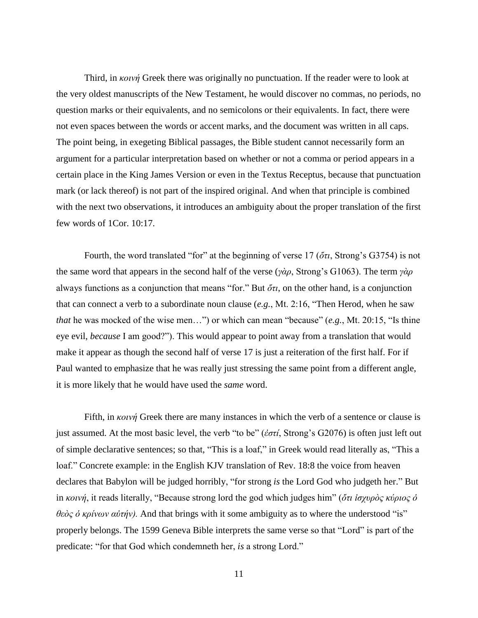Third, in *κοινή* Greek there was originally no punctuation. If the reader were to look at the very oldest manuscripts of the New Testament, he would discover no commas, no periods, no question marks or their equivalents, and no semicolons or their equivalents. In fact, there were not even spaces between the words or accent marks, and the document was written in all caps. The point being, in exegeting Biblical passages, the Bible student cannot necessarily form an argument for a particular interpretation based on whether or not a comma or period appears in a certain place in the King James Version or even in the Textus Receptus, because that punctuation mark (or lack thereof) is not part of the inspired original. And when that principle is combined with the next two observations, it introduces an ambiguity about the proper translation of the first few words of 1Cor. 10:17.

Fourth, the word translated "for" at the beginning of verse 17 (*ὅτι*, Strong's G3754) is not the same word that appears in the second half of the verse (*γὰρ*, Strong's G1063). The term *γὰρ* always functions as a conjunction that means "for." But *ὅτι*, on the other hand, is a conjunction that can connect a verb to a subordinate noun clause (*e.g.*, Mt. 2:16, "Then Herod, when he saw *that* he was mocked of the wise men…") or which can mean "because" (*e.g.*, Mt. 20:15, "Is thine eye evil, *because* I am good?"). This would appear to point away from a translation that would make it appear as though the second half of verse 17 is just a reiteration of the first half. For if Paul wanted to emphasize that he was really just stressing the same point from a different angle, it is more likely that he would have used the *same* word.

Fifth, in *κοινή* Greek there are many instances in which the verb of a sentence or clause is just assumed. At the most basic level, the verb "to be" (*ἐστί*, Strong's G2076) is often just left out of simple declarative sentences; so that, "This is a loaf," in Greek would read literally as, "This a loaf." Concrete example: in the English KJV translation of Rev. 18:8 the voice from heaven declares that Babylon will be judged horribly, "for strong *is* the Lord God who judgeth her." But in *κοινή*, it reads literally, "Because strong lord the god which judges him" (*ὅτι ἰσχυρὸς κύριος ὁ θεὸς ὁ κρίνων αὐτήν).* And that brings with it some ambiguity as to where the understood "is" properly belongs. The 1599 Geneva Bible interprets the same verse so that "Lord" is part of the predicate: "for that God which condemneth her, *is* a strong Lord."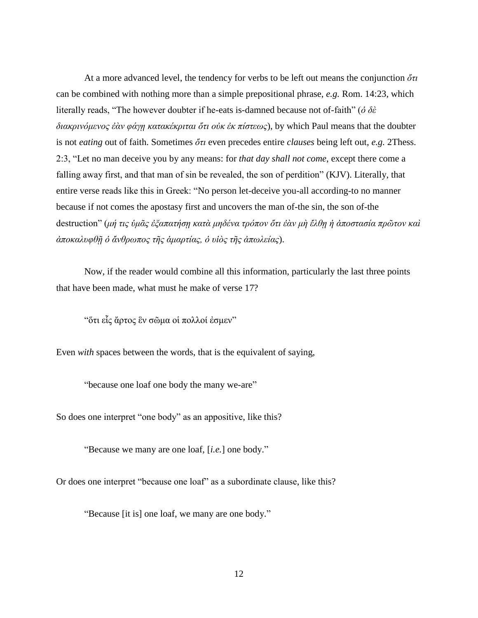At a more advanced level, the tendency for verbs to be left out means the conjunction *ὅτι* can be combined with nothing more than a simple prepositional phrase, *e.g.* Rom. 14:23, which literally reads, "The however doubter if he-eats is-damned because not of-faith" (*ὁ δὲ διακρινόμενος ἐὰν φάγῃ κατακέκριται ὅτι οὐκ ἐκ πίστεως*), by which Paul means that the doubter is not *eating* out of faith. Sometimes *ὅτι* even precedes entire *clauses* being left out, *e.g.* 2Thess. 2:3, "Let no man deceive you by any means: for *that day shall not come*, except there come a falling away first, and that man of sin be revealed, the son of perdition" (KJV). Literally, that entire verse reads like this in Greek: "No person let-deceive you-all according-to no manner because if not comes the apostasy first and uncovers the man of-the sin, the son of-the destruction" (*μή τις ὑμᾶς ἐξαπατήσῃ κατὰ μηδένα τρόπον ὅτι ἐὰν μὴ ἔλθῃ ἡ ἀποστασία πρῶτον καὶ ἀποκαλυφθῇ ὁ ἄνθρωπος τῆς ἁμαρτίας, ὁ υἱὸς τῆς ἀπωλείας*).

Now, if the reader would combine all this information, particularly the last three points that have been made, what must he make of verse 17?

"ὅτι εἷς ἄρτος ἓν σῶμα οἱ πολλοί ἐσμεν"

Even *with* spaces between the words, that is the equivalent of saying,

"because one loaf one body the many we-are"

So does one interpret "one body" as an appositive, like this?

"Because we many are one loaf, [*i.e.*] one body."

Or does one interpret "because one loaf" as a subordinate clause, like this?

"Because [it is] one loaf, we many are one body."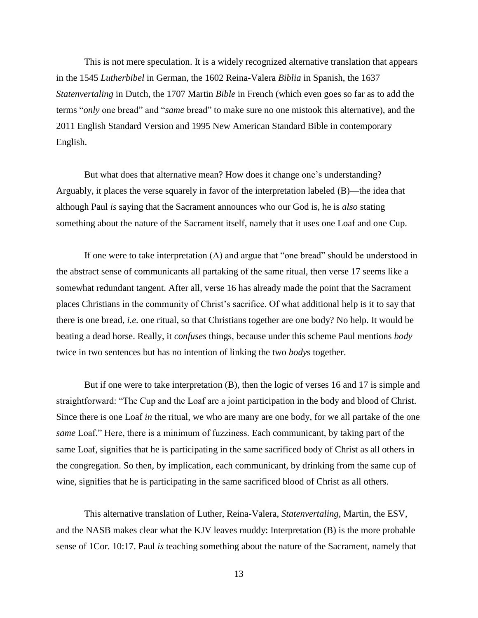This is not mere speculation. It is a widely recognized alternative translation that appears in the 1545 *Lutherbibel* in German, the 1602 Reina-Valera *Biblia* in Spanish, the 1637 *Statenvertaling* in Dutch, the 1707 Martin *Bible* in French (which even goes so far as to add the terms "*only* one bread" and "*same* bread" to make sure no one mistook this alternative), and the 2011 English Standard Version and 1995 New American Standard Bible in contemporary English.

But what does that alternative mean? How does it change one's understanding? Arguably, it places the verse squarely in favor of the interpretation labeled (B)—the idea that although Paul *is* saying that the Sacrament announces who our God is, he is *also* stating something about the nature of the Sacrament itself, namely that it uses one Loaf and one Cup.

If one were to take interpretation (A) and argue that "one bread" should be understood in the abstract sense of communicants all partaking of the same ritual, then verse 17 seems like a somewhat redundant tangent. After all, verse 16 has already made the point that the Sacrament places Christians in the community of Christ's sacrifice. Of what additional help is it to say that there is one bread, *i.e.* one ritual, so that Christians together are one body? No help. It would be beating a dead horse. Really, it *confuses* things, because under this scheme Paul mentions *body* twice in two sentences but has no intention of linking the two *body*s together.

But if one were to take interpretation (B), then the logic of verses 16 and 17 is simple and straightforward: "The Cup and the Loaf are a joint participation in the body and blood of Christ. Since there is one Loaf *in* the ritual, we who are many are one body, for we all partake of the one *same* Loaf." Here, there is a minimum of fuzziness. Each communicant, by taking part of the same Loaf, signifies that he is participating in the same sacrificed body of Christ as all others in the congregation. So then, by implication, each communicant, by drinking from the same cup of wine, signifies that he is participating in the same sacrificed blood of Christ as all others.

This alternative translation of Luther, Reina-Valera, *Statenvertaling*, Martin, the ESV, and the NASB makes clear what the KJV leaves muddy: Interpretation (B) is the more probable sense of 1Cor. 10:17. Paul *is* teaching something about the nature of the Sacrament, namely that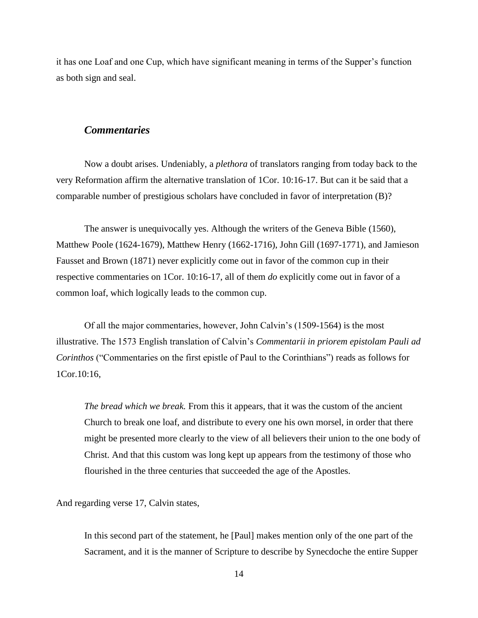it has one Loaf and one Cup, which have significant meaning in terms of the Supper's function as both sign and seal.

#### *Commentaries*

Now a doubt arises. Undeniably, a *plethora* of translators ranging from today back to the very Reformation affirm the alternative translation of 1Cor. 10:16-17. But can it be said that a comparable number of prestigious scholars have concluded in favor of interpretation (B)?

The answer is unequivocally yes. Although the writers of the Geneva Bible (1560), Matthew Poole (1624-1679), Matthew Henry (1662-1716), John Gill (1697-1771), and Jamieson Fausset and Brown (1871) never explicitly come out in favor of the common cup in their respective commentaries on 1Cor. 10:16-17, all of them *do* explicitly come out in favor of a common loaf, which logically leads to the common cup.

Of all the major commentaries, however, John Calvin's (1509-1564) is the most illustrative. The 1573 English translation of Calvin's *Commentarii in priorem epistolam Pauli ad Corinthos* ("Commentaries on the first epistle of Paul to the Corinthians") reads as follows for 1Cor.10:16,

*The bread which we break.* From this it appears, that it was the custom of the ancient Church to break one loaf, and distribute to every one his own morsel, in order that there might be presented more clearly to the view of all believers their union to the one body of Christ. And that this custom was long kept up appears from the testimony of those who flourished in the three centuries that succeeded the age of the Apostles.

And regarding verse 17, Calvin states,

In this second part of the statement, he [Paul] makes mention only of the one part of the Sacrament, and it is the manner of Scripture to describe by Synecdoche the entire Supper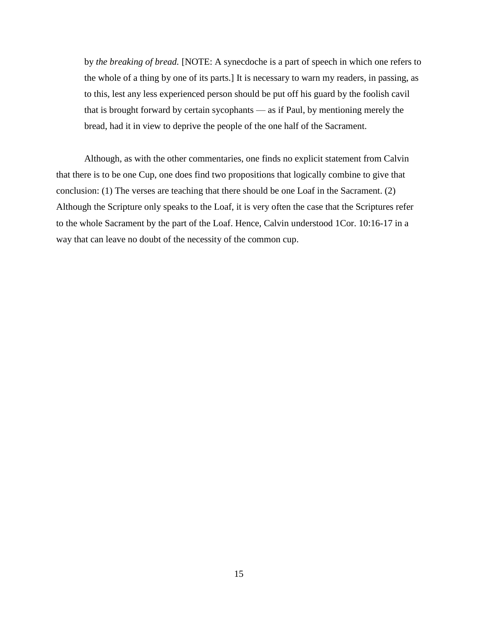by *the breaking of bread.* [NOTE: A synecdoche is a part of speech in which one refers to the whole of a thing by one of its parts.] It is necessary to warn my readers, in passing, as to this, lest any less experienced person should be put off his guard by the foolish cavil that is brought forward by certain sycophants — as if Paul, by mentioning merely the bread, had it in view to deprive the people of the one half of the Sacrament.

Although, as with the other commentaries, one finds no explicit statement from Calvin that there is to be one Cup, one does find two propositions that logically combine to give that conclusion: (1) The verses are teaching that there should be one Loaf in the Sacrament. (2) Although the Scripture only speaks to the Loaf, it is very often the case that the Scriptures refer to the whole Sacrament by the part of the Loaf. Hence, Calvin understood 1Cor. 10:16-17 in a way that can leave no doubt of the necessity of the common cup.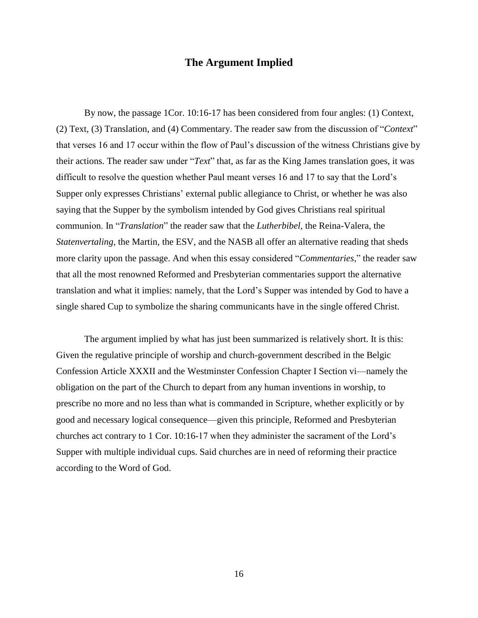#### **The Argument Implied**

By now, the passage 1Cor. 10:16-17 has been considered from four angles: (1) Context, (2) Text, (3) Translation, and (4) Commentary. The reader saw from the discussion of "*Context*" that verses 16 and 17 occur within the flow of Paul's discussion of the witness Christians give by their actions. The reader saw under "*Text*" that, as far as the King James translation goes, it was difficult to resolve the question whether Paul meant verses 16 and 17 to say that the Lord's Supper only expresses Christians' external public allegiance to Christ, or whether he was also saying that the Supper by the symbolism intended by God gives Christians real spiritual communion. In "*Translation*" the reader saw that the *Lutherbibel*, the Reina-Valera, the *Statenvertaling*, the Martin, the ESV, and the NASB all offer an alternative reading that sheds more clarity upon the passage. And when this essay considered "*Commentaries*," the reader saw that all the most renowned Reformed and Presbyterian commentaries support the alternative translation and what it implies: namely, that the Lord's Supper was intended by God to have a single shared Cup to symbolize the sharing communicants have in the single offered Christ.

The argument implied by what has just been summarized is relatively short. It is this: Given the regulative principle of worship and church-government described in the Belgic Confession Article XXXII and the Westminster Confession Chapter I Section vi—namely the obligation on the part of the Church to depart from any human inventions in worship, to prescribe no more and no less than what is commanded in Scripture, whether explicitly or by good and necessary logical consequence—given this principle, Reformed and Presbyterian churches act contrary to 1 Cor. 10:16-17 when they administer the sacrament of the Lord's Supper with multiple individual cups. Said churches are in need of reforming their practice according to the Word of God.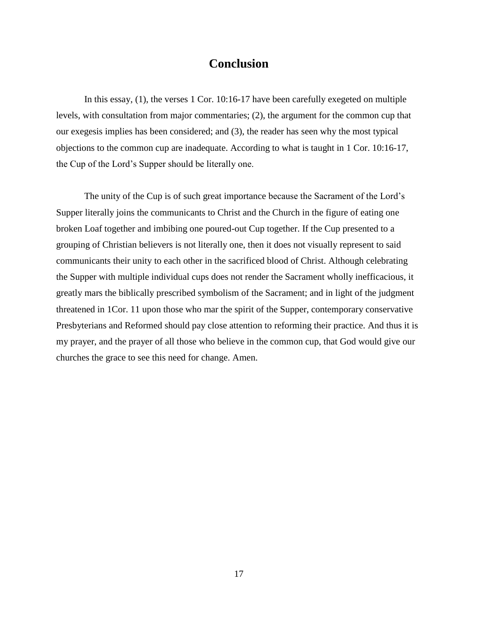## **Conclusion**

In this essay, (1), the verses 1 Cor. 10:16-17 have been carefully exegeted on multiple levels, with consultation from major commentaries; (2), the argument for the common cup that our exegesis implies has been considered; and (3), the reader has seen why the most typical objections to the common cup are inadequate. According to what is taught in 1 Cor. 10:16-17, the Cup of the Lord's Supper should be literally one.

The unity of the Cup is of such great importance because the Sacrament of the Lord's Supper literally joins the communicants to Christ and the Church in the figure of eating one broken Loaf together and imbibing one poured-out Cup together. If the Cup presented to a grouping of Christian believers is not literally one, then it does not visually represent to said communicants their unity to each other in the sacrificed blood of Christ. Although celebrating the Supper with multiple individual cups does not render the Sacrament wholly inefficacious, it greatly mars the biblically prescribed symbolism of the Sacrament; and in light of the judgment threatened in 1Cor. 11 upon those who mar the spirit of the Supper, contemporary conservative Presbyterians and Reformed should pay close attention to reforming their practice. And thus it is my prayer, and the prayer of all those who believe in the common cup, that God would give our churches the grace to see this need for change. Amen.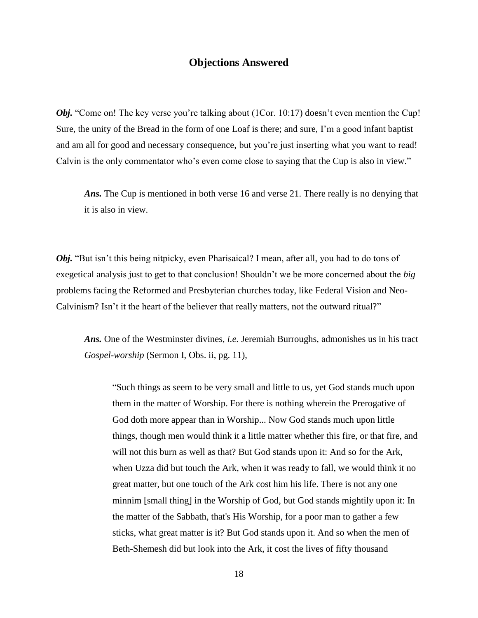## **Objections Answered**

*Obj.* "Come on! The key verse you're talking about (1Cor. 10:17) doesn't even mention the Cup! Sure, the unity of the Bread in the form of one Loaf is there; and sure, I'm a good infant baptist and am all for good and necessary consequence, but you're just inserting what you want to read! Calvin is the only commentator who's even come close to saying that the Cup is also in view."

*Ans.* The Cup is mentioned in both verse 16 and verse 21. There really is no denying that it is also in view.

*Obj.* "But isn't this being nitpicky, even Pharisaical? I mean, after all, you had to do tons of exegetical analysis just to get to that conclusion! Shouldn't we be more concerned about the *big* problems facing the Reformed and Presbyterian churches today, like Federal Vision and Neo-Calvinism? Isn't it the heart of the believer that really matters, not the outward ritual?"

*Ans.* One of the Westminster divines, *i.e.* Jeremiah Burroughs, admonishes us in his tract *Gospel-worship* (Sermon I, Obs. ii, pg. 11),

"Such things as seem to be very small and little to us, yet God stands much upon them in the matter of Worship. For there is nothing wherein the Prerogative of God doth more appear than in Worship... Now God stands much upon little things, though men would think it a little matter whether this fire, or that fire, and will not this burn as well as that? But God stands upon it: And so for the Ark, when Uzza did but touch the Ark, when it was ready to fall, we would think it no great matter, but one touch of the Ark cost him his life. There is not any one minnim [small thing] in the Worship of God, but God stands mightily upon it: In the matter of the Sabbath, that's His Worship, for a poor man to gather a few sticks, what great matter is it? But God stands upon it. And so when the men of Beth-Shemesh did but look into the Ark, it cost the lives of fifty thousand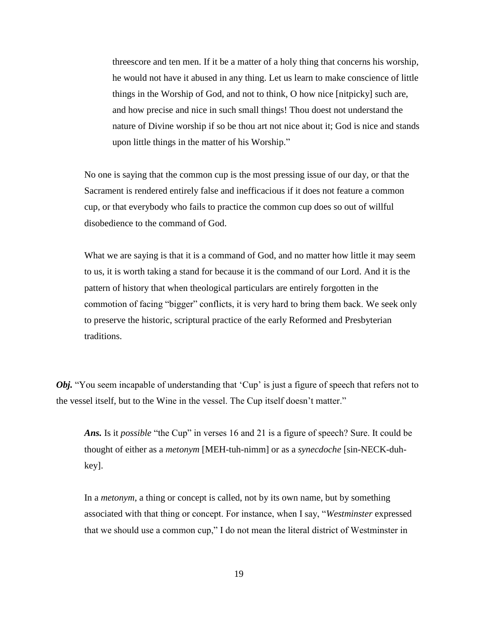threescore and ten men. If it be a matter of a holy thing that concerns his worship, he would not have it abused in any thing. Let us learn to make conscience of little things in the Worship of God, and not to think, O how nice [nitpicky] such are, and how precise and nice in such small things! Thou doest not understand the nature of Divine worship if so be thou art not nice about it; God is nice and stands upon little things in the matter of his Worship."

No one is saying that the common cup is the most pressing issue of our day, or that the Sacrament is rendered entirely false and inefficacious if it does not feature a common cup, or that everybody who fails to practice the common cup does so out of willful disobedience to the command of God.

What we are saying is that it is a command of God, and no matter how little it may seem to us, it is worth taking a stand for because it is the command of our Lord. And it is the pattern of history that when theological particulars are entirely forgotten in the commotion of facing "bigger" conflicts, it is very hard to bring them back. We seek only to preserve the historic, scriptural practice of the early Reformed and Presbyterian traditions.

*Obj.* "You seem incapable of understanding that 'Cup' is just a figure of speech that refers not to the vessel itself, but to the Wine in the vessel. The Cup itself doesn't matter."

*Ans.* Is it *possible* "the Cup" in verses 16 and 21 is a figure of speech? Sure. It could be thought of either as a *metonym* [MEH-tuh-nimm] or as a *synecdoche* [sin-NECK-duhkey].

In a *metonym*, a thing or concept is called, not by its own name, but by something associated with that thing or concept. For instance, when I say, "*Westminster* expressed that we should use a common cup," I do not mean the literal district of Westminster in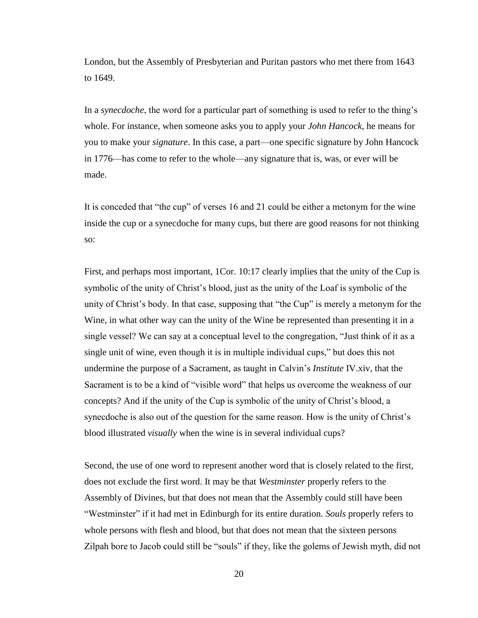London, but the Assembly of Presbyterian and Puritan pastors who met there from 1643 to 1649.

In a *synecdoche*, the word for a particular part of something is used to refer to the thing's whole. For instance, when someone asks you to apply your *John Hancock*, he means for you to make your *signature*. In this case, a part—one specific signature by John Hancock in 1776—has come to refer to the whole—any signature that is, was, or ever will be made.

It is conceded that "the cup" of verses 16 and 21 could be either a metonym for the wine inside the cup or a synecdoche for many cups, but there are good reasons for not thinking so:

First, and perhaps most important, 1Cor. 10:17 clearly implies that the unity of the Cup is symbolic of the unity of Christ's blood, just as the unity of the Loaf is symbolic of the unity of Christ's body. In that case, supposing that "the Cup" is merely a metonym for the Wine, in what other way can the unity of the Wine be represented than presenting it in a single vessel? We can say at a conceptual level to the congregation, "Just think of it as a single unit of wine, even though it is in multiple individual cups," but does this not undermine the purpose of a Sacrament, as taught in Calvin's *Institute* IV.xiv, that the Sacrament is to be a kind of "visible word" that helps us overcome the weakness of our concepts? And if the unity of the Cup is symbolic of the unity of Christ's blood, a synecdoche is also out of the question for the same reason. How is the unity of Christ's blood illustrated *visually* when the wine is in several individual cups?

Second, the use of one word to represent another word that is closely related to the first, does not exclude the first word. It may be that *Westminster* properly refers to the Assembly of Divines, but that does not mean that the Assembly could still have been "Westminster" if it had met in Edinburgh for its entire duration. *Souls* properly refers to whole persons with flesh and blood, but that does not mean that the sixteen persons Zilpah bore to Jacob could still be "souls" if they, like the golems of Jewish myth, did not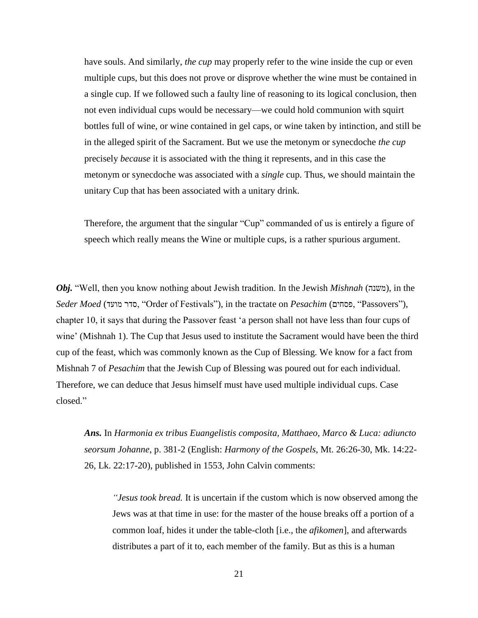have souls. And similarly, *the cup* may properly refer to the wine inside the cup or even multiple cups, but this does not prove or disprove whether the wine must be contained in a single cup. If we followed such a faulty line of reasoning to its logical conclusion, then not even individual cups would be necessary—we could hold communion with squirt bottles full of wine, or wine contained in gel caps, or wine taken by intinction, and still be in the alleged spirit of the Sacrament. But we use the metonym or synecdoche *the cup* precisely *because* it is associated with the thing it represents, and in this case the metonym or synecdoche was associated with a *single* cup. Thus, we should maintain the unitary Cup that has been associated with a unitary drink.

Therefore, the argument that the singular "Cup" commanded of us is entirely a figure of speech which really means the Wine or multiple cups, is a rather spurious argument.

*Obj.* "Well, then you know nothing about Jewish tradition. In the Jewish *Mishnah* (משנה(, in the *Seder Moed* (מועד סדר," Order of Festivals"), in the tractate on *Pesachim* (פסחים," Passovers"), chapter 10, it says that during the Passover feast 'a person shall not have less than four cups of wine' (Mishnah 1). The Cup that Jesus used to institute the Sacrament would have been the third cup of the feast, which was commonly known as the Cup of Blessing. We know for a fact from Mishnah 7 of *Pesachim* that the Jewish Cup of Blessing was poured out for each individual. Therefore, we can deduce that Jesus himself must have used multiple individual cups. Case closed."

*Ans.* In *Harmonia ex tribus Euangelistis composita, Matthaeo, Marco & Luca: adiuncto seorsum Johanne*, p. 381-2 (English: *Harmony of the Gospels*, Mt. 26:26-30, Mk. 14:22- 26, Lk. 22:17-20), published in 1553, John Calvin comments:

*"Jesus took bread.* It is uncertain if the custom which is now observed among the Jews was at that time in use: for the master of the house breaks off a portion of a common loaf, hides it under the table-cloth [i.e., the *afikomen*], and afterwards distributes a part of it to, each member of the family. But as this is a human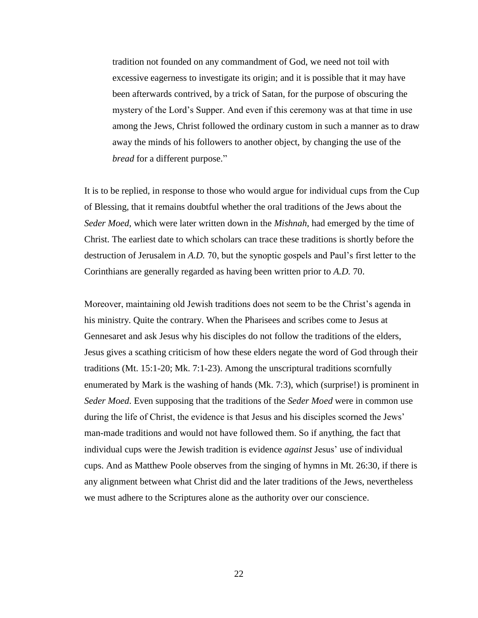tradition not founded on any commandment of God, we need not toil with excessive eagerness to investigate its origin; and it is possible that it may have been afterwards contrived, by a trick of Satan, for the purpose of obscuring the mystery of the Lord's Supper. And even if this ceremony was at that time in use among the Jews, Christ followed the ordinary custom in such a manner as to draw away the minds of his followers to another object, by changing the use of the *bread* for a different purpose."

It is to be replied, in response to those who would argue for individual cups from the Cup of Blessing, that it remains doubtful whether the oral traditions of the Jews about the *Seder Moed*, which were later written down in the *Mishnah*, had emerged by the time of Christ. The earliest date to which scholars can trace these traditions is shortly before the destruction of Jerusalem in *A.D.* 70, but the synoptic gospels and Paul's first letter to the Corinthians are generally regarded as having been written prior to *A.D.* 70.

Moreover, maintaining old Jewish traditions does not seem to be the Christ's agenda in his ministry. Quite the contrary. When the Pharisees and scribes come to Jesus at Gennesaret and ask Jesus why his disciples do not follow the traditions of the elders, Jesus gives a scathing criticism of how these elders negate the word of God through their traditions (Mt. 15:1-20; Mk. 7:1-23). Among the unscriptural traditions scornfully enumerated by Mark is the washing of hands (Mk. 7:3), which (surprise!) is prominent in *Seder Moed*. Even supposing that the traditions of the *Seder Moed* were in common use during the life of Christ, the evidence is that Jesus and his disciples scorned the Jews' man-made traditions and would not have followed them. So if anything, the fact that individual cups were the Jewish tradition is evidence *against* Jesus' use of individual cups. And as Matthew Poole observes from the singing of hymns in Mt. 26:30, if there is any alignment between what Christ did and the later traditions of the Jews, nevertheless we must adhere to the Scriptures alone as the authority over our conscience.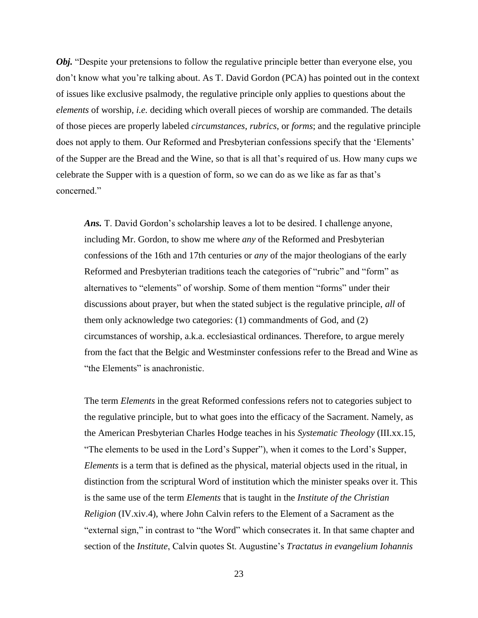*Obj.* "Despite your pretensions to follow the regulative principle better than everyone else, you don't know what you're talking about. As T. David Gordon (PCA) has pointed out in the context of issues like exclusive psalmody, the regulative principle only applies to questions about the *elements* of worship, *i.e.* deciding which overall pieces of worship are commanded. The details of those pieces are properly labeled *circumstances*, *rubrics*, or *forms*; and the regulative principle does not apply to them. Our Reformed and Presbyterian confessions specify that the 'Elements' of the Supper are the Bread and the Wine, so that is all that's required of us. How many cups we celebrate the Supper with is a question of form, so we can do as we like as far as that's concerned."

*Ans.* T. David Gordon's scholarship leaves a lot to be desired. I challenge anyone, including Mr. Gordon, to show me where *any* of the Reformed and Presbyterian confessions of the 16th and 17th centuries or *any* of the major theologians of the early Reformed and Presbyterian traditions teach the categories of "rubric" and "form" as alternatives to "elements" of worship. Some of them mention "forms" under their discussions about prayer, but when the stated subject is the regulative principle, *all* of them only acknowledge two categories: (1) commandments of God, and (2) circumstances of worship, a.k.a. ecclesiastical ordinances. Therefore, to argue merely from the fact that the Belgic and Westminster confessions refer to the Bread and Wine as "the Elements" is anachronistic.

The term *Elements* in the great Reformed confessions refers not to categories subject to the regulative principle, but to what goes into the efficacy of the Sacrament. Namely, as the American Presbyterian Charles Hodge teaches in his *Systematic Theology* (III.xx.15, "The elements to be used in the Lord's Supper"), when it comes to the Lord's Supper, *Elements* is a term that is defined as the physical, material objects used in the ritual, in distinction from the scriptural Word of institution which the minister speaks over it. This is the same use of the term *Elements* that is taught in the *Institute of the Christian Religion* (IV.xiv.4), where John Calvin refers to the Element of a Sacrament as the "external sign," in contrast to "the Word" which consecrates it. In that same chapter and section of the *Institute*, Calvin quotes St. Augustine's *Tractatus in evangelium Iohannis*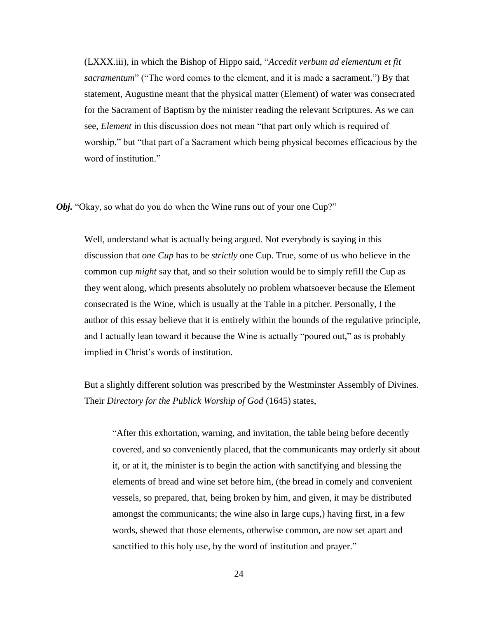(LXXX.iii), in which the Bishop of Hippo said, "*Accedit verbum ad elementum et fit sacramentum*" ("The word comes to the element, and it is made a sacrament.") By that statement, Augustine meant that the physical matter (Element) of water was consecrated for the Sacrament of Baptism by the minister reading the relevant Scriptures. As we can see, *Element* in this discussion does not mean "that part only which is required of worship," but "that part of a Sacrament which being physical becomes efficacious by the word of institution."

*Obj.* "Okay, so what do you do when the Wine runs out of your one Cup?"

Well, understand what is actually being argued. Not everybody is saying in this discussion that *one Cup* has to be *strictly* one Cup. True, some of us who believe in the common cup *might* say that, and so their solution would be to simply refill the Cup as they went along, which presents absolutely no problem whatsoever because the Element consecrated is the Wine, which is usually at the Table in a pitcher. Personally, I the author of this essay believe that it is entirely within the bounds of the regulative principle, and I actually lean toward it because the Wine is actually "poured out," as is probably implied in Christ's words of institution.

But a slightly different solution was prescribed by the Westminster Assembly of Divines. Their *Directory for the Publick Worship of God* (1645) states,

"After this exhortation, warning, and invitation, the table being before decently covered, and so conveniently placed, that the communicants may orderly sit about it, or at it, the minister is to begin the action with sanctifying and blessing the elements of bread and wine set before him, (the bread in comely and convenient vessels, so prepared, that, being broken by him, and given, it may be distributed amongst the communicants; the wine also in large cups,) having first, in a few words, shewed that those elements, otherwise common, are now set apart and sanctified to this holy use, by the word of institution and prayer."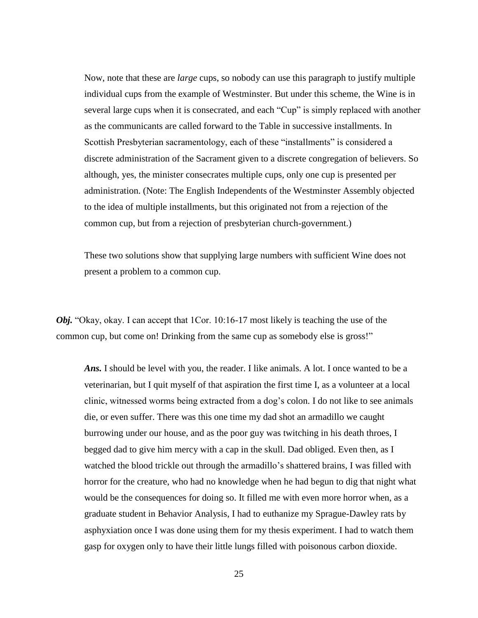Now, note that these are *large* cups, so nobody can use this paragraph to justify multiple individual cups from the example of Westminster. But under this scheme, the Wine is in several large cups when it is consecrated, and each "Cup" is simply replaced with another as the communicants are called forward to the Table in successive installments. In Scottish Presbyterian sacramentology, each of these "installments" is considered a discrete administration of the Sacrament given to a discrete congregation of believers. So although, yes, the minister consecrates multiple cups, only one cup is presented per administration. (Note: The English Independents of the Westminster Assembly objected to the idea of multiple installments, but this originated not from a rejection of the common cup, but from a rejection of presbyterian church-government.)

These two solutions show that supplying large numbers with sufficient Wine does not present a problem to a common cup.

*Obj.* "Okay, okay. I can accept that 1Cor. 10:16-17 most likely is teaching the use of the common cup, but come on! Drinking from the same cup as somebody else is gross!"

*Ans.* I should be level with you, the reader. I like animals. A lot. I once wanted to be a veterinarian, but I quit myself of that aspiration the first time I, as a volunteer at a local clinic, witnessed worms being extracted from a dog's colon. I do not like to see animals die, or even suffer. There was this one time my dad shot an armadillo we caught burrowing under our house, and as the poor guy was twitching in his death throes, I begged dad to give him mercy with a cap in the skull. Dad obliged. Even then, as I watched the blood trickle out through the armadillo's shattered brains, I was filled with horror for the creature, who had no knowledge when he had begun to dig that night what would be the consequences for doing so. It filled me with even more horror when, as a graduate student in Behavior Analysis, I had to euthanize my Sprague-Dawley rats by asphyxiation once I was done using them for my thesis experiment. I had to watch them gasp for oxygen only to have their little lungs filled with poisonous carbon dioxide.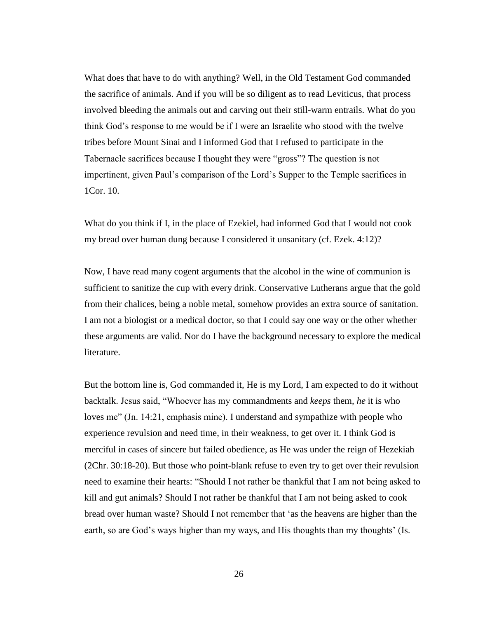What does that have to do with anything? Well, in the Old Testament God commanded the sacrifice of animals. And if you will be so diligent as to read Leviticus, that process involved bleeding the animals out and carving out their still-warm entrails. What do you think God's response to me would be if I were an Israelite who stood with the twelve tribes before Mount Sinai and I informed God that I refused to participate in the Tabernacle sacrifices because I thought they were "gross"? The question is not impertinent, given Paul's comparison of the Lord's Supper to the Temple sacrifices in 1Cor. 10.

What do you think if I, in the place of Ezekiel, had informed God that I would not cook my bread over human dung because I considered it unsanitary (cf. Ezek. 4:12)?

Now, I have read many cogent arguments that the alcohol in the wine of communion is sufficient to sanitize the cup with every drink. Conservative Lutherans argue that the gold from their chalices, being a noble metal, somehow provides an extra source of sanitation. I am not a biologist or a medical doctor, so that I could say one way or the other whether these arguments are valid. Nor do I have the background necessary to explore the medical literature.

But the bottom line is, God commanded it, He is my Lord, I am expected to do it without backtalk. Jesus said, "Whoever has my commandments and *keeps* them, *he* it is who loves me" (Jn. 14:21, emphasis mine). I understand and sympathize with people who experience revulsion and need time, in their weakness, to get over it. I think God is merciful in cases of sincere but failed obedience, as He was under the reign of Hezekiah (2Chr. 30:18-20). But those who point-blank refuse to even try to get over their revulsion need to examine their hearts: "Should I not rather be thankful that I am not being asked to kill and gut animals? Should I not rather be thankful that I am not being asked to cook bread over human waste? Should I not remember that 'as the heavens are higher than the earth, so are God's ways higher than my ways, and His thoughts than my thoughts' (Is.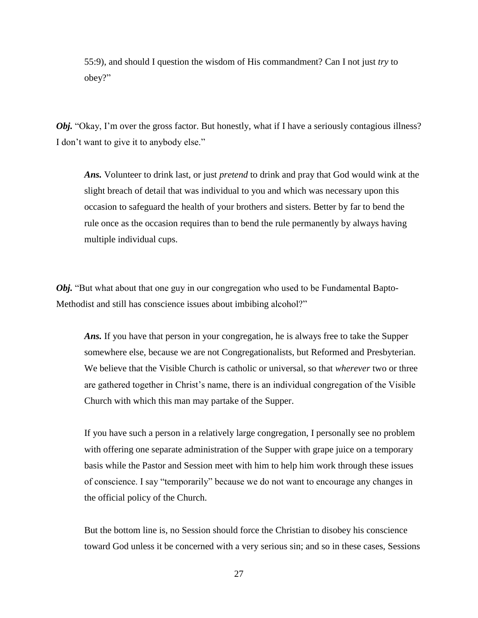55:9), and should I question the wisdom of His commandment? Can I not just *try* to obey?"

*Obj.* "Okay, I'm over the gross factor. But honestly, what if I have a seriously contagious illness? I don't want to give it to anybody else."

*Ans.* Volunteer to drink last, or just *pretend* to drink and pray that God would wink at the slight breach of detail that was individual to you and which was necessary upon this occasion to safeguard the health of your brothers and sisters. Better by far to bend the rule once as the occasion requires than to bend the rule permanently by always having multiple individual cups.

*Obj.* "But what about that one guy in our congregation who used to be Fundamental Bapto-Methodist and still has conscience issues about imbibing alcohol?"

*Ans.* If you have that person in your congregation, he is always free to take the Supper somewhere else, because we are not Congregationalists, but Reformed and Presbyterian. We believe that the Visible Church is catholic or universal, so that *wherever* two or three are gathered together in Christ's name, there is an individual congregation of the Visible Church with which this man may partake of the Supper.

If you have such a person in a relatively large congregation, I personally see no problem with offering one separate administration of the Supper with grape juice on a temporary basis while the Pastor and Session meet with him to help him work through these issues of conscience. I say "temporarily" because we do not want to encourage any changes in the official policy of the Church.

But the bottom line is, no Session should force the Christian to disobey his conscience toward God unless it be concerned with a very serious sin; and so in these cases, Sessions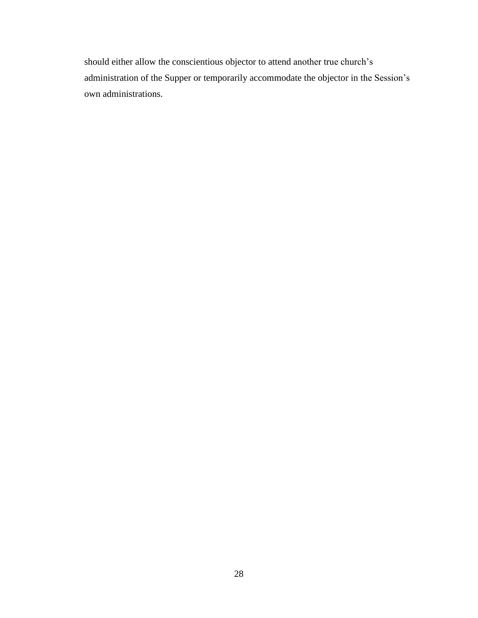should either allow the conscientious objector to attend another true church's administration of the Supper or temporarily accommodate the objector in the Session's own administrations.